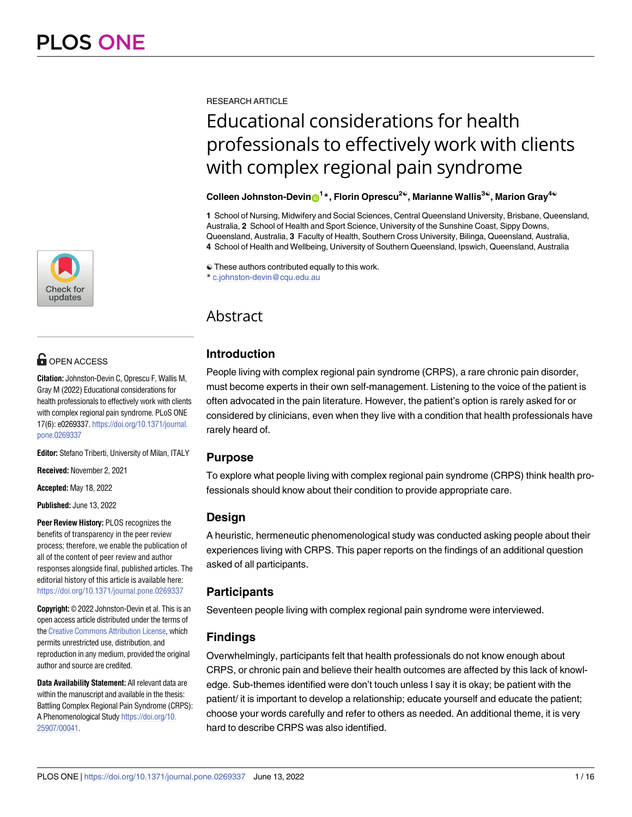

## **OPEN ACCESS**

**Citation:** Johnston-Devin C, Oprescu F, Wallis M, Gray M (2022) Educational considerations for health professionals to effectively work with clients with complex regional pain syndrome. PLoS ONE 17(6): e0269337. [https://doi.org/10.1371/journal.](https://doi.org/10.1371/journal.pone.0269337) [pone.0269337](https://doi.org/10.1371/journal.pone.0269337)

**Editor:** Stefano Triberti, University of Milan, ITALY

**Received:** November 2, 2021

**Accepted:** May 18, 2022

**Published:** June 13, 2022

**Peer Review History:** PLOS recognizes the benefits of transparency in the peer review process; therefore, we enable the publication of all of the content of peer review and author responses alongside final, published articles. The editorial history of this article is available here: <https://doi.org/10.1371/journal.pone.0269337>

**Copyright:** © 2022 Johnston-Devin et al. This is an open access article distributed under the terms of the Creative [Commons](http://creativecommons.org/licenses/by/4.0/) Attribution License, which permits unrestricted use, distribution, and reproduction in any medium, provided the original author and source are credited.

**Data Availability Statement:** All relevant data are within the manuscript and available in the thesis: Battling Complex Regional Pain Syndrome (CRPS): A Phenomenological Study [https://doi.org/10.](https://doi.org/10.25907/00041) [25907/00041.](https://doi.org/10.25907/00041)

RESEARCH ARTICLE

# Educational considerations for health professionals to effectively work with clients with complex regional pain syndrome

## $\mathsf{Collection\text{-}Devin@}^{1*}$ , Florin Oprescu<sup>2©</sup>, Marianne Wallis<sup>3©</sup>, Marion Gray<sup>4©</sup>

**1** School of Nursing, Midwifery and Social Sciences, Central Queensland University, Brisbane, Queensland, Australia, **2** School of Health and Sport Science, University of the Sunshine Coast, Sippy Downs, Queensland, Australia, **3** Faculty of Health, Southern Cross University, Bilinga, Queensland, Australia, **4** School of Health and Wellbeing, University of Southern Queensland, Ipswich, Queensland, Australia

☯ These authors contributed equally to this work.

\* c.johnston-devin@cqu.edu.au

## Abstract

## **Introduction**

People living with complex regional pain syndrome (CRPS), a rare chronic pain disorder, must become experts in their own self-management. Listening to the voice of the patient is often advocated in the pain literature. However, the patient's option is rarely asked for or considered by clinicians, even when they live with a condition that health professionals have rarely heard of.

## **Purpose**

To explore what people living with complex regional pain syndrome (CRPS) think health professionals should know about their condition to provide appropriate care.

## **Design**

A heuristic, hermeneutic phenomenological study was conducted asking people about their experiences living with CRPS. This paper reports on the findings of an additional question asked of all participants.

## **Participants**

Seventeen people living with complex regional pain syndrome were interviewed.

## **Findings**

Overwhelmingly, participants felt that health professionals do not know enough about CRPS, or chronic pain and believe their health outcomes are affected by this lack of knowledge. Sub-themes identified were don't touch unless I say it is okay; be patient with the patient/ it is important to develop a relationship; educate yourself and educate the patient; choose your words carefully and refer to others as needed. An additional theme, it is very hard to describe CRPS was also identified.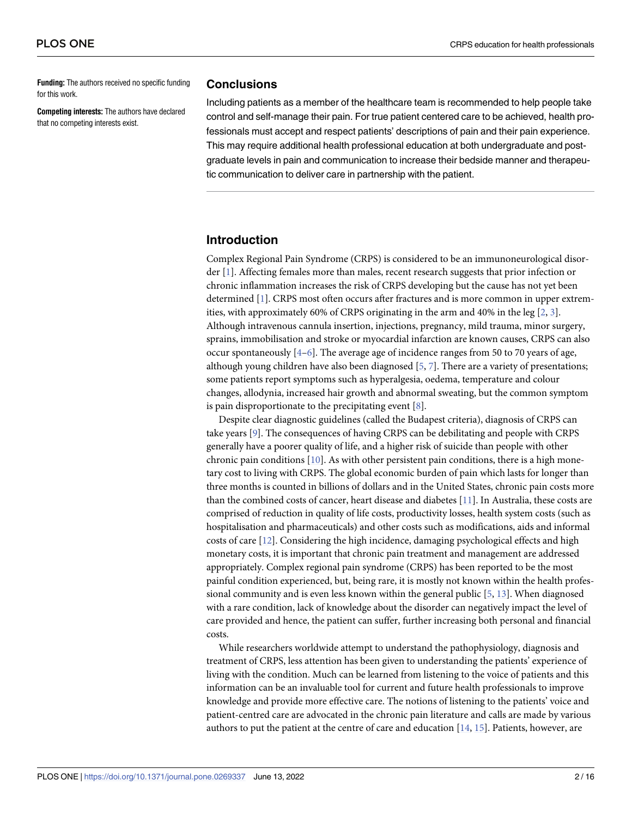<span id="page-1-0"></span>**Funding:** The authors received no specific funding for this work.

**Competing interests:** The authors have declared that no competing interests exist.

### **Conclusions**

Including patients as a member of the healthcare team is recommended to help people take control and self-manage their pain. For true patient centered care to be achieved, health professionals must accept and respect patients' descriptions of pain and their pain experience. This may require additional health professional education at both undergraduate and postgraduate levels in pain and communication to increase their bedside manner and therapeutic communication to deliver care in partnership with the patient.

## **Introduction**

Complex Regional Pain Syndrome (CRPS) is considered to be an immunoneurological disorder [[1\]](#page-13-0). Affecting females more than males, recent research suggests that prior infection or chronic inflammation increases the risk of CRPS developing but the cause has not yet been determined [[1\]](#page-13-0). CRPS most often occurs after fractures and is more common in upper extremities, with approximately 60% of CRPS originating in the arm and 40% in the leg [[2,](#page-13-0) [3\]](#page-13-0). Although intravenous cannula insertion, injections, pregnancy, mild trauma, minor surgery, sprains, immobilisation and stroke or myocardial infarction are known causes, CRPS can also occur spontaneously  $[4-6]$  $[4-6]$  $[4-6]$  $[4-6]$  $[4-6]$ . The average age of incidence ranges from 50 to 70 years of age, although young children have also been diagnosed  $[5, 7]$  $[5, 7]$  $[5, 7]$  $[5, 7]$ . There are a variety of presentations; some patients report symptoms such as hyperalgesia, oedema, temperature and colour changes, allodynia, increased hair growth and abnormal sweating, but the common symptom is pain disproportionate to the precipitating event [\[8\]](#page-13-0).

Despite clear diagnostic guidelines (called the Budapest criteria), diagnosis of CRPS can take years [[9\]](#page-13-0). The consequences of having CRPS can be debilitating and people with CRPS generally have a poorer quality of life, and a higher risk of suicide than people with other chronic pain conditions [[10](#page-13-0)]. As with other persistent pain conditions, there is a high monetary cost to living with CRPS. The global economic burden of pain which lasts for longer than three months is counted in billions of dollars and in the United States, chronic pain costs more than the combined costs of cancer, heart disease and diabetes [\[11\]](#page-13-0). In Australia, these costs are comprised of reduction in quality of life costs, productivity losses, health system costs (such as hospitalisation and pharmaceuticals) and other costs such as modifications, aids and informal costs of care [\[12\]](#page-13-0). Considering the high incidence, damaging psychological effects and high monetary costs, it is important that chronic pain treatment and management are addressed appropriately. Complex regional pain syndrome (CRPS) has been reported to be the most painful condition experienced, but, being rare, it is mostly not known within the health professional community and is even less known within the general public [[5,](#page-13-0) [13\]](#page-13-0). When diagnosed with a rare condition, lack of knowledge about the disorder can negatively impact the level of care provided and hence, the patient can suffer, further increasing both personal and financial costs.

While researchers worldwide attempt to understand the pathophysiology, diagnosis and treatment of CRPS, less attention has been given to understanding the patients' experience of living with the condition. Much can be learned from listening to the voice of patients and this information can be an invaluable tool for current and future health professionals to improve knowledge and provide more effective care. The notions of listening to the patients' voice and patient-centred care are advocated in the chronic pain literature and calls are made by various authors to put the patient at the centre of care and education [[14](#page-13-0), [15](#page-13-0)]. Patients, however, are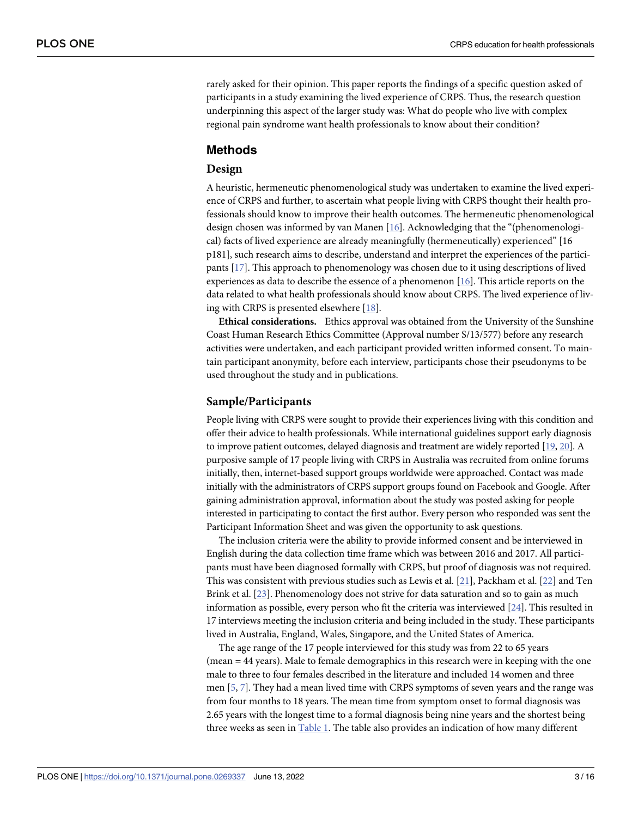<span id="page-2-0"></span>rarely asked for their opinion. This paper reports the findings of a specific question asked of participants in a study examining the lived experience of CRPS. Thus, the research question underpinning this aspect of the larger study was: What do people who live with complex regional pain syndrome want health professionals to know about their condition?

## **Methods**

## **Design**

A heuristic, hermeneutic phenomenological study was undertaken to examine the lived experience of CRPS and further, to ascertain what people living with CRPS thought their health professionals should know to improve their health outcomes. The hermeneutic phenomenological design chosen was informed by van Manen [\[16\]](#page-13-0). Acknowledging that the "(phenomenological) facts of lived experience are already meaningfully (hermeneutically) experienced" [16 p181], such research aims to describe, understand and interpret the experiences of the participants [\[17\]](#page-13-0). This approach to phenomenology was chosen due to it using descriptions of lived experiences as data to describe the essence of a phenomenon [\[16\]](#page-13-0). This article reports on the data related to what health professionals should know about CRPS. The lived experience of living with CRPS is presented elsewhere [\[18\]](#page-13-0).

**Ethical considerations.** Ethics approval was obtained from the University of the Sunshine Coast Human Research Ethics Committee (Approval number S/13/577) before any research activities were undertaken, and each participant provided written informed consent. To maintain participant anonymity, before each interview, participants chose their pseudonyms to be used throughout the study and in publications.

## **Sample/Participants**

People living with CRPS were sought to provide their experiences living with this condition and offer their advice to health professionals. While international guidelines support early diagnosis to improve patient outcomes, delayed diagnosis and treatment are widely reported [[19,](#page-13-0) [20\]](#page-13-0). A purposive sample of 17 people living with CRPS in Australia was recruited from online forums initially, then, internet-based support groups worldwide were approached. Contact was made initially with the administrators of CRPS support groups found on Facebook and Google. After gaining administration approval, information about the study was posted asking for people interested in participating to contact the first author. Every person who responded was sent the Participant Information Sheet and was given the opportunity to ask questions.

The inclusion criteria were the ability to provide informed consent and be interviewed in English during the data collection time frame which was between 2016 and 2017. All participants must have been diagnosed formally with CRPS, but proof of diagnosis was not required. This was consistent with previous studies such as Lewis et al. [[21](#page-13-0)], Packham et al. [\[22\]](#page-13-0) and Ten Brink et al. [[23](#page-14-0)]. Phenomenology does not strive for data saturation and so to gain as much information as possible, every person who fit the criteria was interviewed [\[24\]](#page-14-0). This resulted in 17 interviews meeting the inclusion criteria and being included in the study. These participants lived in Australia, England, Wales, Singapore, and the United States of America.

The age range of the 17 people interviewed for this study was from 22 to 65 years (mean = 44 years). Male to female demographics in this research were in keeping with the one male to three to four females described in the literature and included 14 women and three men [[5](#page-13-0), [7](#page-13-0)]. They had a mean lived time with CRPS symptoms of seven years and the range was from four months to 18 years. The mean time from symptom onset to formal diagnosis was 2.65 years with the longest time to a formal diagnosis being nine years and the shortest being three weeks as seen in [Table](#page-3-0) 1. The table also provides an indication of how many different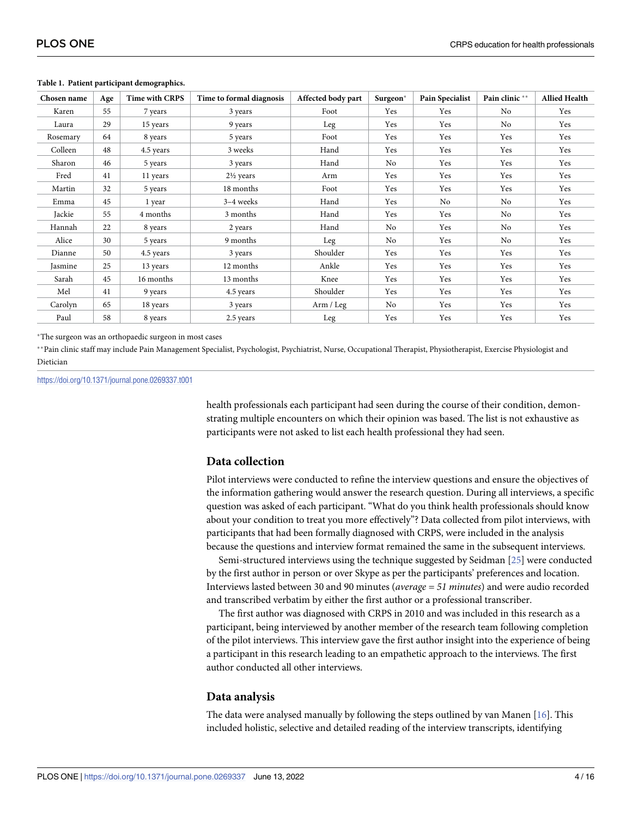| Chosen name | Age | <b>Time with CRPS</b> | Time to formal diagnosis | Affected body part | Surgeon <sup>*</sup> | Pain Specialist | Pain clinic** | <b>Allied Health</b> |
|-------------|-----|-----------------------|--------------------------|--------------------|----------------------|-----------------|---------------|----------------------|
| Karen       | 55  | 7 years               | 3 years                  | Foot               | Yes                  | Yes             | No            | Yes                  |
| Laura       | 29  | 15 years              | 9 years                  | Leg                | Yes                  | Yes             | No            | Yes                  |
| Rosemary    | 64  | 8 years               | 5 years                  | Foot               | Yes                  | Yes             | Yes           | Yes                  |
| Colleen     | 48  | 4.5 years             | 3 weeks                  | Hand               | Yes                  | Yes             | Yes           | Yes                  |
| Sharon      | 46  | 5 years               | 3 years                  | Hand               | No                   | Yes             | Yes           | Yes                  |
| Fred        | 41  | 11 years              | $2\frac{1}{2}$ years     | Arm                | Yes                  | Yes             | Yes           | Yes                  |
| Martin      | 32  | 5 years               | 18 months                | Foot               | Yes                  | Yes             | Yes           | Yes                  |
| Emma        | 45  | 1 year                | 3-4 weeks                | Hand               | Yes                  | No              | No            | Yes                  |
| Jackie      | 55  | 4 months              | 3 months                 | Hand               | Yes                  | Yes             | No            | Yes                  |
| Hannah      | 22  | 8 years               | 2 years                  | Hand               | No                   | Yes             | No            | Yes                  |
| Alice       | 30  | 5 years               | 9 months                 | Leg                | No                   | Yes             | No            | Yes                  |
| Dianne      | 50  | 4.5 years             | 3 years                  | Shoulder           | Yes                  | Yes             | Yes           | Yes                  |
| Jasmine     | 25  | 13 years              | 12 months                | Ankle              | Yes                  | Yes             | Yes           | Yes                  |
| Sarah       | 45  | 16 months             | 13 months                | Knee               | Yes                  | Yes             | Yes           | Yes                  |
| Mel         | 41  | 9 years               | 4.5 years                | Shoulder           | Yes                  | Yes             | Yes           | Yes                  |
| Carolyn     | 65  | 18 years              | 3 years                  | Arm / Leg          | No                   | Yes             | Yes           | Yes                  |
| Paul        | 58  | 8 years               | 2.5 years                | Leg                | Yes                  | Yes             | Yes           | Yes                  |

#### <span id="page-3-0"></span>**[Table](#page-2-0) 1. Patient participant demographics.**

�The surgeon was an orthopaedic surgeon in most cases

\*\*Pain clinic staff may include Pain Management Specialist, Psychologist, Psychiatrist, Nurse, Occupational Therapist, Physiotherapist, Exercise Physiologist and Dietician

<https://doi.org/10.1371/journal.pone.0269337.t001>

health professionals each participant had seen during the course of their condition, demonstrating multiple encounters on which their opinion was based. The list is not exhaustive as participants were not asked to list each health professional they had seen.

## **Data collection**

Pilot interviews were conducted to refine the interview questions and ensure the objectives of the information gathering would answer the research question. During all interviews, a specific question was asked of each participant. "What do you think health professionals should know about your condition to treat you more effectively"? Data collected from pilot interviews, with participants that had been formally diagnosed with CRPS, were included in the analysis because the questions and interview format remained the same in the subsequent interviews.

Semi-structured interviews using the technique suggested by Seidman [\[25\]](#page-14-0) were conducted by the first author in person or over Skype as per the participants' preferences and location. Interviews lasted between 30 and 90 minutes (*average = 51 minutes*) and were audio recorded and transcribed verbatim by either the first author or a professional transcriber.

The first author was diagnosed with CRPS in 2010 and was included in this research as a participant, being interviewed by another member of the research team following completion of the pilot interviews. This interview gave the first author insight into the experience of being a participant in this research leading to an empathetic approach to the interviews. The first author conducted all other interviews.

### **Data analysis**

The data were analysed manually by following the steps outlined by van Manen  $[16]$ . This included holistic, selective and detailed reading of the interview transcripts, identifying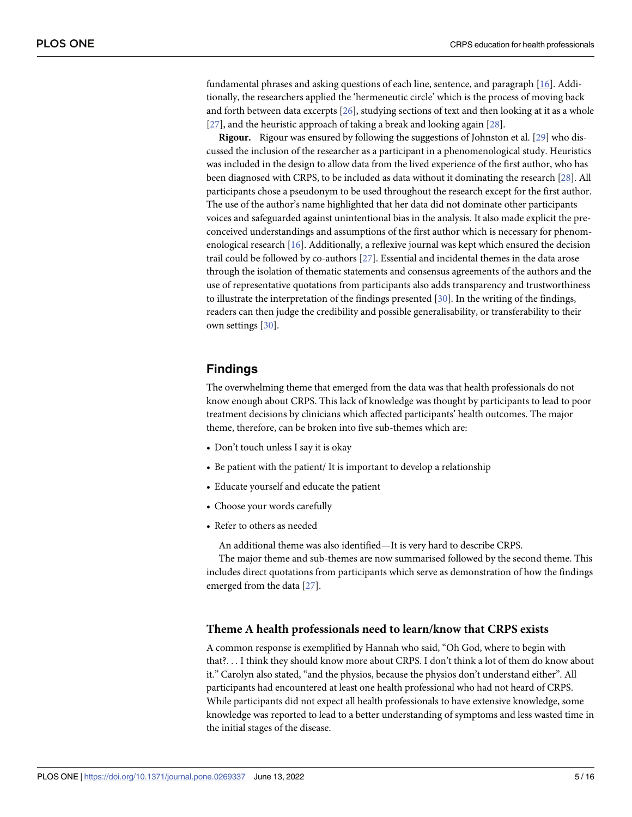<span id="page-4-0"></span>fundamental phrases and asking questions of each line, sentence, and paragraph [\[16\]](#page-13-0). Additionally, the researchers applied the 'hermeneutic circle' which is the process of moving back and forth between data excerpts [\[26\]](#page-14-0), studying sections of text and then looking at it as a whole [\[27\]](#page-14-0), and the heuristic approach of taking a break and looking again [[28](#page-14-0)].

**Rigour.** Rigour was ensured by following the suggestions of Johnston et al. [\[29\]](#page-14-0) who discussed the inclusion of the researcher as a participant in a phenomenological study. Heuristics was included in the design to allow data from the lived experience of the first author, who has been diagnosed with CRPS, to be included as data without it dominating the research [[28](#page-14-0)]. All participants chose a pseudonym to be used throughout the research except for the first author. The use of the author's name highlighted that her data did not dominate other participants voices and safeguarded against unintentional bias in the analysis. It also made explicit the preconceived understandings and assumptions of the first author which is necessary for phenomenological research [[16](#page-13-0)]. Additionally, a reflexive journal was kept which ensured the decision trail could be followed by co-authors [\[27\]](#page-14-0). Essential and incidental themes in the data arose through the isolation of thematic statements and consensus agreements of the authors and the use of representative quotations from participants also adds transparency and trustworthiness to illustrate the interpretation of the findings presented [\[30\]](#page-14-0). In the writing of the findings, readers can then judge the credibility and possible generalisability, or transferability to their own settings [\[30\]](#page-14-0).

## **Findings**

The overwhelming theme that emerged from the data was that health professionals do not know enough about CRPS. This lack of knowledge was thought by participants to lead to poor treatment decisions by clinicians which affected participants' health outcomes. The major theme, therefore, can be broken into five sub-themes which are:

- Don't touch unless I say it is okay
- Be patient with the patient/ It is important to develop a relationship
- Educate yourself and educate the patient
- Choose your words carefully
- Refer to others as needed

An additional theme was also identified—It is very hard to describe CRPS.

The major theme and sub-themes are now summarised followed by the second theme. This includes direct quotations from participants which serve as demonstration of how the findings emerged from the data [\[27\]](#page-14-0).

## **Theme A health professionals need to learn/know that CRPS exists**

A common response is exemplified by Hannah who said, "Oh God, where to begin with that?. . . I think they should know more about CRPS. I don't think a lot of them do know about it." Carolyn also stated, "and the physios, because the physios don't understand either". All participants had encountered at least one health professional who had not heard of CRPS. While participants did not expect all health professionals to have extensive knowledge, some knowledge was reported to lead to a better understanding of symptoms and less wasted time in the initial stages of the disease.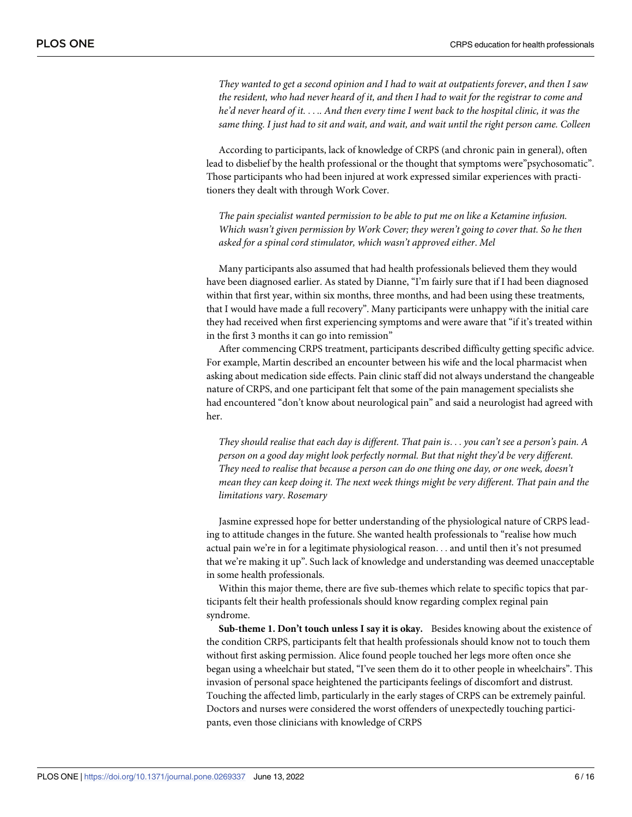They wanted to get a second opinion and I had to wait at outpatients forever, and then I saw the resident, who had never heard of it, and then I had to wait for the registrar to come and he'd never heard of it. . . . . And then every time I went back to the hospital clinic, it was the same thing. I just had to sit and wait, and wait, and wait until the right person came. Colleen

According to participants, lack of knowledge of CRPS (and chronic pain in general), often lead to disbelief by the health professional or the thought that symptoms were"psychosomatic". Those participants who had been injured at work expressed similar experiences with practitioners they dealt with through Work Cover.

*The pain specialist wanted permission to be able to put me on like a Ketamine infusion. Which wasn't given permission by Work Cover; they weren't going to cover that. So he then asked for a spinal cord stimulator, which wasn't approved either*. *Mel*

Many participants also assumed that had health professionals believed them they would have been diagnosed earlier. As stated by Dianne, "I'm fairly sure that if I had been diagnosed within that first year, within six months, three months, and had been using these treatments, that I would have made a full recovery". Many participants were unhappy with the initial care they had received when first experiencing symptoms and were aware that "if it's treated within in the first 3 months it can go into remission"

After commencing CRPS treatment, participants described difficulty getting specific advice. For example, Martin described an encounter between his wife and the local pharmacist when asking about medication side effects. Pain clinic staff did not always understand the changeable nature of CRPS, and one participant felt that some of the pain management specialists she had encountered "don't know about neurological pain" and said a neurologist had agreed with her.

*They should realise that each day is different. That pain is*. . . *you can't see a person's pain. A person on a good day might look perfectly normal. But that night they'd be very different. They need to realise that because a person can do one thing one day, or one week, doesn't mean they can keep doing it. The next week things might be very different. That pain and the limitations vary*. *Rosemary*

Jasmine expressed hope for better understanding of the physiological nature of CRPS leading to attitude changes in the future. She wanted health professionals to "realise how much actual pain we're in for a legitimate physiological reason. . . and until then it's not presumed that we're making it up". Such lack of knowledge and understanding was deemed unacceptable in some health professionals.

Within this major theme, there are five sub-themes which relate to specific topics that participants felt their health professionals should know regarding complex reginal pain syndrome.

**Sub-theme 1. Don't touch unless I say it is okay.** Besides knowing about the existence of the condition CRPS, participants felt that health professionals should know not to touch them without first asking permission. Alice found people touched her legs more often once she began using a wheelchair but stated, "I've seen them do it to other people in wheelchairs". This invasion of personal space heightened the participants feelings of discomfort and distrust. Touching the affected limb, particularly in the early stages of CRPS can be extremely painful. Doctors and nurses were considered the worst offenders of unexpectedly touching participants, even those clinicians with knowledge of CRPS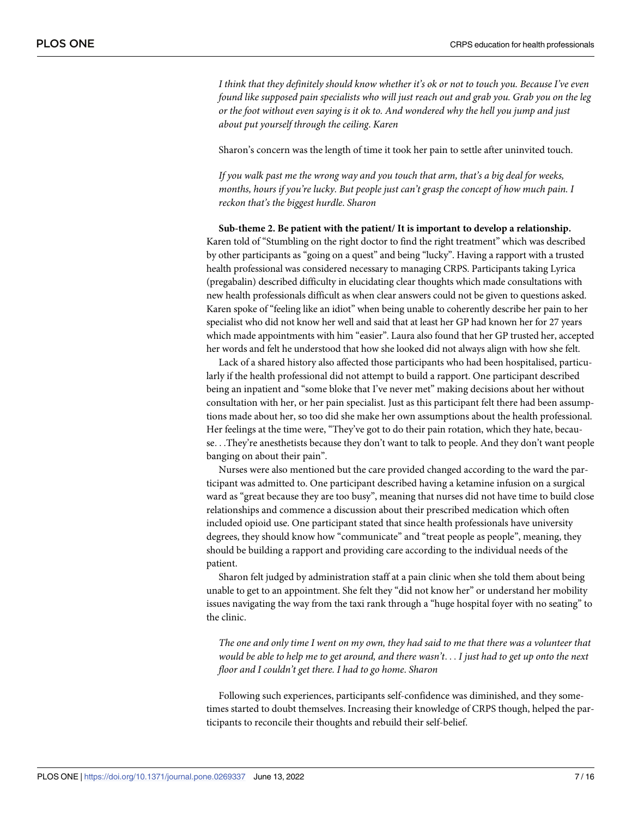*I think that they definitely should know whether it's ok or not to touch you. Because I've even found like supposed pain specialists who will just reach out and grab you. Grab you on the leg or the foot without even saying is it ok to. And wondered why the hell you jump and just about put yourself through the ceiling*. *Karen*

Sharon's concern was the length of time it took her pain to settle after uninvited touch.

*If you walk past me the wrong way and you touch that arm, that's a big deal for weeks, months, hours if you're lucky. But people just can't grasp the concept of how much pain. I reckon that's the biggest hurdle*. *Sharon*

**Sub-theme 2. Be patient with the patient/ It is important to develop a relationship.** Karen told of "Stumbling on the right doctor to find the right treatment" which was described by other participants as "going on a quest" and being "lucky". Having a rapport with a trusted health professional was considered necessary to managing CRPS. Participants taking Lyrica (pregabalin) described difficulty in elucidating clear thoughts which made consultations with new health professionals difficult as when clear answers could not be given to questions asked. Karen spoke of "feeling like an idiot" when being unable to coherently describe her pain to her specialist who did not know her well and said that at least her GP had known her for 27 years which made appointments with him "easier". Laura also found that her GP trusted her, accepted her words and felt he understood that how she looked did not always align with how she felt.

Lack of a shared history also affected those participants who had been hospitalised, particularly if the health professional did not attempt to build a rapport. One participant described being an inpatient and "some bloke that I've never met" making decisions about her without consultation with her, or her pain specialist. Just as this participant felt there had been assumptions made about her, so too did she make her own assumptions about the health professional. Her feelings at the time were, "They've got to do their pain rotation, which they hate, because. . .They're anesthetists because they don't want to talk to people. And they don't want people banging on about their pain".

Nurses were also mentioned but the care provided changed according to the ward the participant was admitted to. One participant described having a ketamine infusion on a surgical ward as "great because they are too busy", meaning that nurses did not have time to build close relationships and commence a discussion about their prescribed medication which often included opioid use. One participant stated that since health professionals have university degrees, they should know how "communicate" and "treat people as people", meaning, they should be building a rapport and providing care according to the individual needs of the patient.

Sharon felt judged by administration staff at a pain clinic when she told them about being unable to get to an appointment. She felt they "did not know her" or understand her mobility issues navigating the way from the taxi rank through a "huge hospital foyer with no seating" to the clinic.

The one and only time I went on my own, they had said to me that there was a volunteer that would be able to help me to get around, and there wasn't... I just had to get up onto the next *floor and I couldn't get there. I had to go home*. *Sharon*

Following such experiences, participants self-confidence was diminished, and they sometimes started to doubt themselves. Increasing their knowledge of CRPS though, helped the participants to reconcile their thoughts and rebuild their self-belief.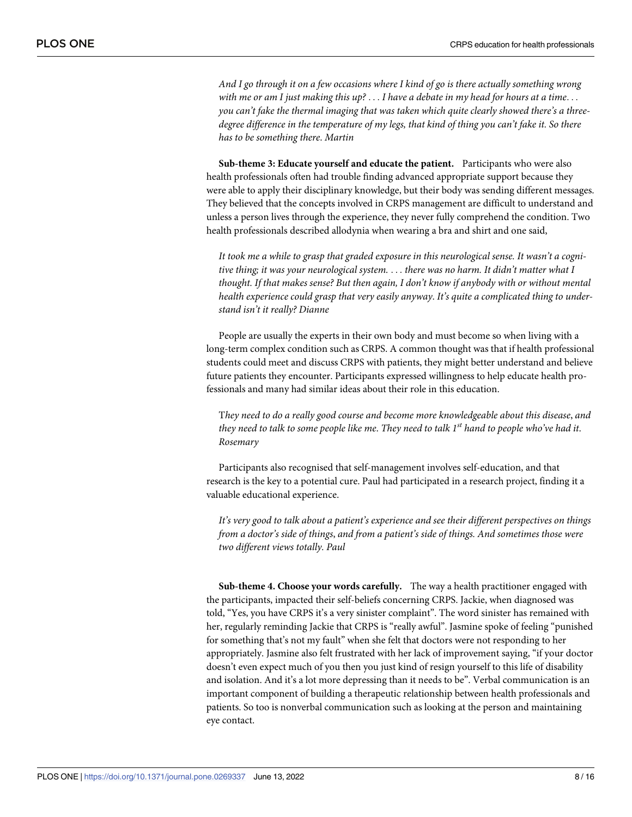*And I go through it on a few occasions where I kind of go is there actually something wrong* with me or am I just making this up?  $\dots$  I have a debate in my head for hours at a time... *you can't fake the thermal imaging that was taken which quite clearly showed there's a threedegree difference in the temperature of my legs, that kind of thing you can't fake it. So there has to be something there*. *Martin*

**Sub-theme 3: Educate yourself and educate the patient.** Participants who were also health professionals often had trouble finding advanced appropriate support because they were able to apply their disciplinary knowledge, but their body was sending different messages. They believed that the concepts involved in CRPS management are difficult to understand and unless a person lives through the experience, they never fully comprehend the condition. Two health professionals described allodynia when wearing a bra and shirt and one said,

*It took me a while to grasp that graded exposure in this neurological sense. It wasn't a cognitive thing; it was your neurological system.* . . . *there was no harm. It didn't matter what I thought. If that makes sense? But then again, I don't know if anybody with or without mental health experience could grasp that very easily anyway*. *It's quite a complicated thing to understand isn't it really? Dianne*

People are usually the experts in their own body and must become so when living with a long-term complex condition such as CRPS. A common thought was that if health professional students could meet and discuss CRPS with patients, they might better understand and believe future patients they encounter. Participants expressed willingness to help educate health professionals and many had similar ideas about their role in this education.

T*hey need to do a really good course and become more knowledgeable about this disease*, *and* they need to talk to some people like me. They need to talk 1<sup>st</sup> hand to people who've had it. *Rosemary*

Participants also recognised that self-management involves self-education, and that research is the key to a potential cure. Paul had participated in a research project, finding it a valuable educational experience.

*It's very good to talk about a patient's experience and see their different perspectives on things from a doctor's side of things*, *and from a patient's side of things. And sometimes those were two different views totally. Paul*

**Sub-theme 4. Choose your words carefully.** The way a health practitioner engaged with the participants, impacted their self-beliefs concerning CRPS. Jackie, when diagnosed was told, "Yes, you have CRPS it's a very sinister complaint". The word sinister has remained with her, regularly reminding Jackie that CRPS is "really awful". Jasmine spoke of feeling "punished for something that's not my fault" when she felt that doctors were not responding to her appropriately. Jasmine also felt frustrated with her lack of improvement saying, "if your doctor doesn't even expect much of you then you just kind of resign yourself to this life of disability and isolation. And it's a lot more depressing than it needs to be". Verbal communication is an important component of building a therapeutic relationship between health professionals and patients. So too is nonverbal communication such as looking at the person and maintaining eye contact.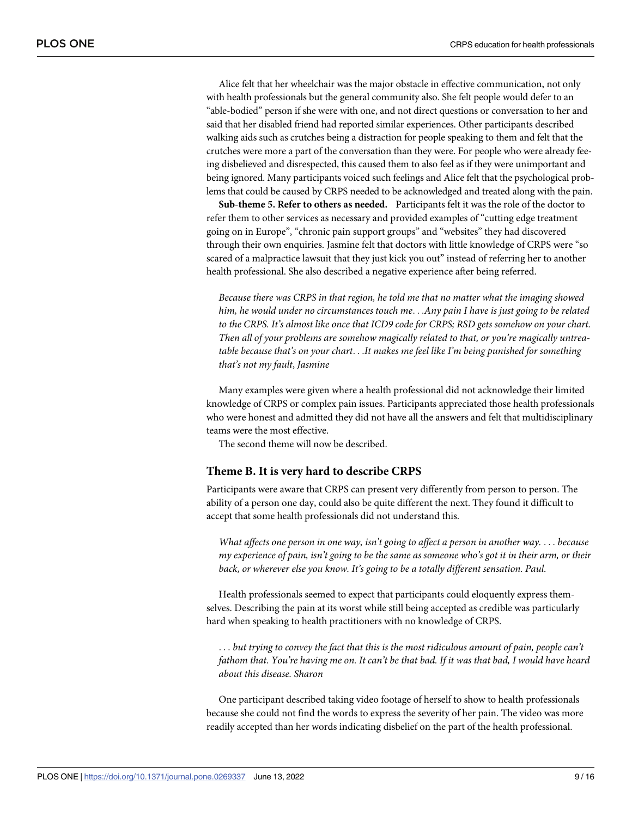Alice felt that her wheelchair was the major obstacle in effective communication, not only with health professionals but the general community also. She felt people would defer to an "able-bodied" person if she were with one, and not direct questions or conversation to her and said that her disabled friend had reported similar experiences. Other participants described walking aids such as crutches being a distraction for people speaking to them and felt that the crutches were more a part of the conversation than they were. For people who were already feeing disbelieved and disrespected, this caused them to also feel as if they were unimportant and being ignored. Many participants voiced such feelings and Alice felt that the psychological problems that could be caused by CRPS needed to be acknowledged and treated along with the pain.

**Sub-theme 5. Refer to others as needed.** Participants felt it was the role of the doctor to refer them to other services as necessary and provided examples of "cutting edge treatment going on in Europe", "chronic pain support groups" and "websites" they had discovered through their own enquiries. Jasmine felt that doctors with little knowledge of CRPS were "so scared of a malpractice lawsuit that they just kick you out" instead of referring her to another health professional. She also described a negative experience after being referred.

*Because there was CRPS in that region, he told me that no matter what the imaging showed him, he would under no circumstances touch me*. . .*Any pain I have is just going to be related to the CRPS. It's almost like once that ICD9 code for CRPS; RSD gets somehow on your chart. Then all of your problems are somehow magically related to that, or you're magically untreatable because that's on your chart*. . .*It makes me feel like I'm being punished for something that's not my fault*, *Jasmine*

Many examples were given where a health professional did not acknowledge their limited knowledge of CRPS or complex pain issues. Participants appreciated those health professionals who were honest and admitted they did not have all the answers and felt that multidisciplinary teams were the most effective.

The second theme will now be described.

## **Theme B. It is very hard to describe CRPS**

Participants were aware that CRPS can present very differently from person to person. The ability of a person one day, could also be quite different the next. They found it difficult to accept that some health professionals did not understand this.

*What affects one person in one way, isn't going to affect a person in another way.* . . . *because* my experience of pain, isn't going to be the same as someone who's got it in their arm, or their *back, or wherever else you know. It's going to be a totally different sensation. Paul*.

Health professionals seemed to expect that participants could eloquently express themselves. Describing the pain at its worst while still being accepted as credible was particularly hard when speaking to health practitioners with no knowledge of CRPS.

. . . *but trying to convey the fact that this is the most ridiculous amount of pain, people can't* fathom that. You're having me on. It can't be that bad. If it was that bad, I would have heard *about this disease. Sharon*

One participant described taking video footage of herself to show to health professionals because she could not find the words to express the severity of her pain. The video was more readily accepted than her words indicating disbelief on the part of the health professional.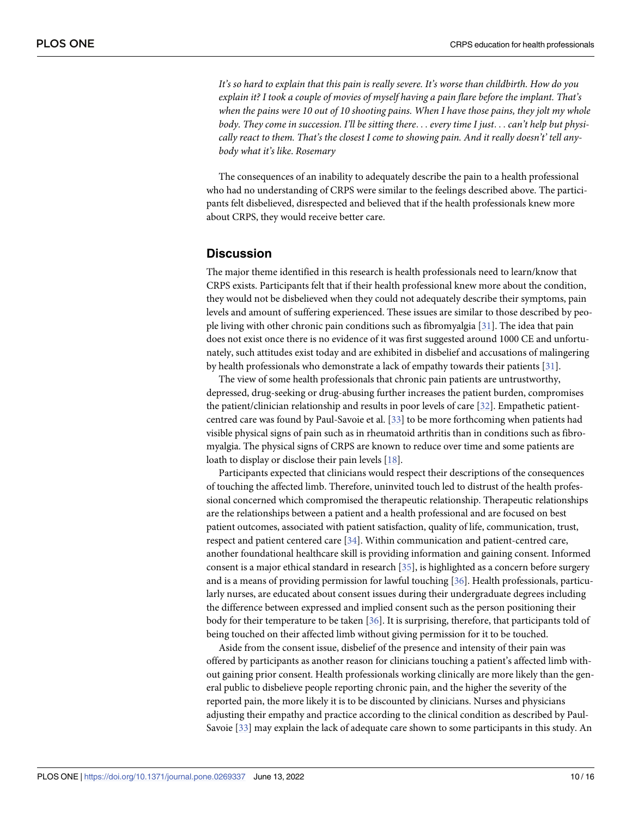<span id="page-9-0"></span>*It's so hard to explain that this pain is really severe. It's worse than childbirth. How do you explain it? I took a couple of movies of myself having a pain flare before the implant. That's* when the pains were 10 out of 10 shooting pains. When I have those pains, they jolt my whole *body. They come in succession. I'll be sitting there*. . . *every time I just*. . . *can't help but physically react to them. That's the closest I come to showing pain. And it really doesn't' tell anybody what it's like*. *Rosemary*

The consequences of an inability to adequately describe the pain to a health professional who had no understanding of CRPS were similar to the feelings described above. The participants felt disbelieved, disrespected and believed that if the health professionals knew more about CRPS, they would receive better care.

### **Discussion**

The major theme identified in this research is health professionals need to learn/know that CRPS exists. Participants felt that if their health professional knew more about the condition, they would not be disbelieved when they could not adequately describe their symptoms, pain levels and amount of suffering experienced. These issues are similar to those described by people living with other chronic pain conditions such as fibromyalgia [[31](#page-14-0)]. The idea that pain does not exist once there is no evidence of it was first suggested around 1000 CE and unfortunately, such attitudes exist today and are exhibited in disbelief and accusations of malingering by health professionals who demonstrate a lack of empathy towards their patients [\[31\]](#page-14-0).

The view of some health professionals that chronic pain patients are untrustworthy, depressed, drug-seeking or drug-abusing further increases the patient burden, compromises the patient/clinician relationship and results in poor levels of care [\[32\]](#page-14-0). Empathetic patientcentred care was found by Paul-Savoie et al. [\[33\]](#page-14-0) to be more forthcoming when patients had visible physical signs of pain such as in rheumatoid arthritis than in conditions such as fibromyalgia. The physical signs of CRPS are known to reduce over time and some patients are loath to display or disclose their pain levels [\[18\]](#page-13-0).

Participants expected that clinicians would respect their descriptions of the consequences of touching the affected limb. Therefore, uninvited touch led to distrust of the health professional concerned which compromised the therapeutic relationship. Therapeutic relationships are the relationships between a patient and a health professional and are focused on best patient outcomes, associated with patient satisfaction, quality of life, communication, trust, respect and patient centered care [\[34\]](#page-14-0). Within communication and patient-centred care, another foundational healthcare skill is providing information and gaining consent. Informed consent is a major ethical standard in research [\[35\]](#page-14-0), is highlighted as a concern before surgery and is a means of providing permission for lawful touching [\[36\]](#page-14-0). Health professionals, particularly nurses, are educated about consent issues during their undergraduate degrees including the difference between expressed and implied consent such as the person positioning their body for their temperature to be taken [[36](#page-14-0)]. It is surprising, therefore, that participants told of being touched on their affected limb without giving permission for it to be touched.

Aside from the consent issue, disbelief of the presence and intensity of their pain was offered by participants as another reason for clinicians touching a patient's affected limb without gaining prior consent. Health professionals working clinically are more likely than the general public to disbelieve people reporting chronic pain, and the higher the severity of the reported pain, the more likely it is to be discounted by clinicians. Nurses and physicians adjusting their empathy and practice according to the clinical condition as described by Paul-Savoie [\[33\]](#page-14-0) may explain the lack of adequate care shown to some participants in this study. An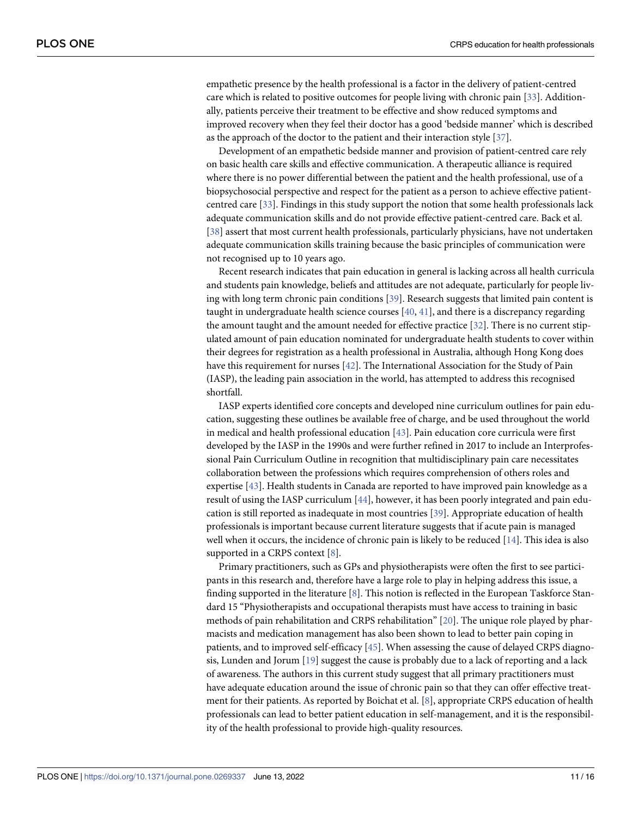<span id="page-10-0"></span>empathetic presence by the health professional is a factor in the delivery of patient-centred care which is related to positive outcomes for people living with chronic pain [[33](#page-14-0)]. Additionally, patients perceive their treatment to be effective and show reduced symptoms and improved recovery when they feel their doctor has a good 'bedside manner' which is described as the approach of the doctor to the patient and their interaction style [[37](#page-14-0)].

Development of an empathetic bedside manner and provision of patient-centred care rely on basic health care skills and effective communication. A therapeutic alliance is required where there is no power differential between the patient and the health professional, use of a biopsychosocial perspective and respect for the patient as a person to achieve effective patientcentred care [\[33\]](#page-14-0). Findings in this study support the notion that some health professionals lack adequate communication skills and do not provide effective patient-centred care. Back et al. [\[38\]](#page-14-0) assert that most current health professionals, particularly physicians, have not undertaken adequate communication skills training because the basic principles of communication were not recognised up to 10 years ago.

Recent research indicates that pain education in general is lacking across all health curricula and students pain knowledge, beliefs and attitudes are not adequate, particularly for people living with long term chronic pain conditions [\[39\]](#page-14-0). Research suggests that limited pain content is taught in undergraduate health science courses [\[40,](#page-14-0) [41\]](#page-14-0), and there is a discrepancy regarding the amount taught and the amount needed for effective practice [[32](#page-14-0)]. There is no current stipulated amount of pain education nominated for undergraduate health students to cover within their degrees for registration as a health professional in Australia, although Hong Kong does have this requirement for nurses [[42](#page-14-0)]. The International Association for the Study of Pain (IASP), the leading pain association in the world, has attempted to address this recognised shortfall.

IASP experts identified core concepts and developed nine curriculum outlines for pain education, suggesting these outlines be available free of charge, and be used throughout the world in medical and health professional education [[43](#page-14-0)]. Pain education core curricula were first developed by the IASP in the 1990s and were further refined in 2017 to include an Interprofessional Pain Curriculum Outline in recognition that multidisciplinary pain care necessitates collaboration between the professions which requires comprehension of others roles and expertise [\[43\]](#page-14-0). Health students in Canada are reported to have improved pain knowledge as a result of using the IASP curriculum [[44](#page-15-0)], however, it has been poorly integrated and pain education is still reported as inadequate in most countries [\[39\]](#page-14-0). Appropriate education of health professionals is important because current literature suggests that if acute pain is managed well when it occurs, the incidence of chronic pain is likely to be reduced [[14](#page-13-0)]. This idea is also supported in a CRPS context [\[8\]](#page-13-0).

Primary practitioners, such as GPs and physiotherapists were often the first to see participants in this research and, therefore have a large role to play in helping address this issue, a finding supported in the literature  $[8]$ . This notion is reflected in the European Taskforce Standard 15 "Physiotherapists and occupational therapists must have access to training in basic methods of pain rehabilitation and CRPS rehabilitation" [\[20\]](#page-13-0). The unique role played by pharmacists and medication management has also been shown to lead to better pain coping in patients, and to improved self-efficacy [[45](#page-15-0)]. When assessing the cause of delayed CRPS diagnosis, Lunden and Jorum [\[19\]](#page-13-0) suggest the cause is probably due to a lack of reporting and a lack of awareness. The authors in this current study suggest that all primary practitioners must have adequate education around the issue of chronic pain so that they can offer effective treatment for their patients. As reported by Boichat et al. [[8](#page-13-0)], appropriate CRPS education of health professionals can lead to better patient education in self-management, and it is the responsibility of the health professional to provide high-quality resources.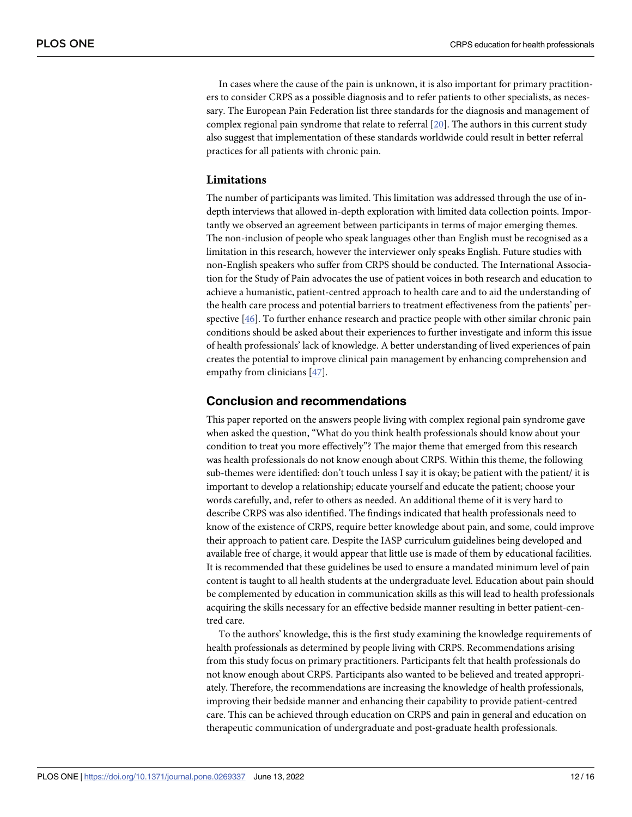<span id="page-11-0"></span>In cases where the cause of the pain is unknown, it is also important for primary practitioners to consider CRPS as a possible diagnosis and to refer patients to other specialists, as necessary. The European Pain Federation list three standards for the diagnosis and management of complex regional pain syndrome that relate to referral [\[20\]](#page-13-0). The authors in this current study also suggest that implementation of these standards worldwide could result in better referral practices for all patients with chronic pain.

### **Limitations**

The number of participants was limited. This limitation was addressed through the use of indepth interviews that allowed in-depth exploration with limited data collection points. Importantly we observed an agreement between participants in terms of major emerging themes. The non-inclusion of people who speak languages other than English must be recognised as a limitation in this research, however the interviewer only speaks English. Future studies with non-English speakers who suffer from CRPS should be conducted. The International Association for the Study of Pain advocates the use of patient voices in both research and education to achieve a humanistic, patient-centred approach to health care and to aid the understanding of the health care process and potential barriers to treatment effectiveness from the patients' perspective [\[46\]](#page-15-0). To further enhance research and practice people with other similar chronic pain conditions should be asked about their experiences to further investigate and inform this issue of health professionals' lack of knowledge. A better understanding of lived experiences of pain creates the potential to improve clinical pain management by enhancing comprehension and empathy from clinicians [\[47\]](#page-15-0).

## **Conclusion and recommendations**

This paper reported on the answers people living with complex regional pain syndrome gave when asked the question, "What do you think health professionals should know about your condition to treat you more effectively"? The major theme that emerged from this research was health professionals do not know enough about CRPS. Within this theme, the following sub-themes were identified: don't touch unless I say it is okay; be patient with the patient/ it is important to develop a relationship; educate yourself and educate the patient; choose your words carefully, and, refer to others as needed. An additional theme of it is very hard to describe CRPS was also identified. The findings indicated that health professionals need to know of the existence of CRPS, require better knowledge about pain, and some, could improve their approach to patient care. Despite the IASP curriculum guidelines being developed and available free of charge, it would appear that little use is made of them by educational facilities. It is recommended that these guidelines be used to ensure a mandated minimum level of pain content is taught to all health students at the undergraduate level. Education about pain should be complemented by education in communication skills as this will lead to health professionals acquiring the skills necessary for an effective bedside manner resulting in better patient-centred care.

To the authors' knowledge, this is the first study examining the knowledge requirements of health professionals as determined by people living with CRPS. Recommendations arising from this study focus on primary practitioners. Participants felt that health professionals do not know enough about CRPS. Participants also wanted to be believed and treated appropriately. Therefore, the recommendations are increasing the knowledge of health professionals, improving their bedside manner and enhancing their capability to provide patient-centred care. This can be achieved through education on CRPS and pain in general and education on therapeutic communication of undergraduate and post-graduate health professionals.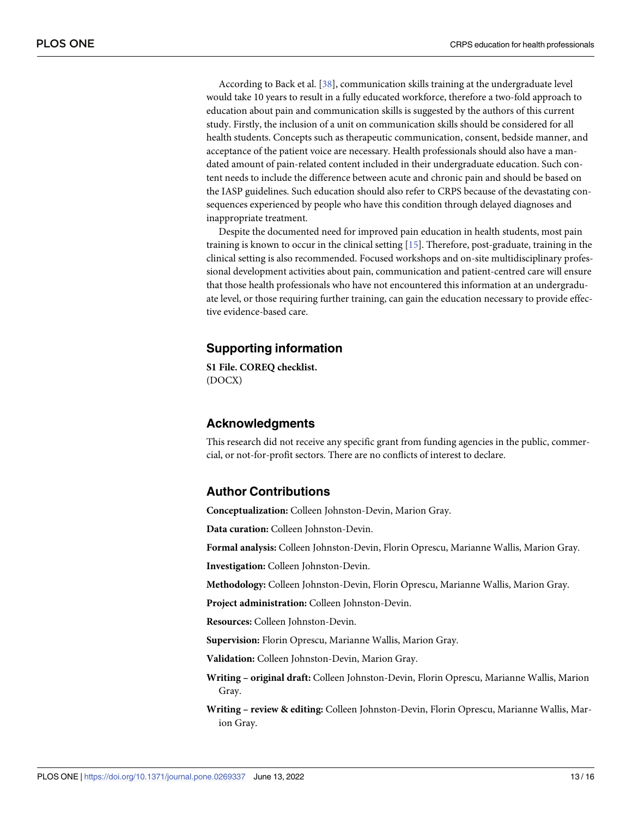According to Back et al. [\[38\]](#page-14-0), communication skills training at the undergraduate level would take 10 years to result in a fully educated workforce, therefore a two-fold approach to education about pain and communication skills is suggested by the authors of this current study. Firstly, the inclusion of a unit on communication skills should be considered for all health students. Concepts such as therapeutic communication, consent, bedside manner, and acceptance of the patient voice are necessary. Health professionals should also have a mandated amount of pain-related content included in their undergraduate education. Such content needs to include the difference between acute and chronic pain and should be based on the IASP guidelines. Such education should also refer to CRPS because of the devastating consequences experienced by people who have this condition through delayed diagnoses and inappropriate treatment.

Despite the documented need for improved pain education in health students, most pain training is known to occur in the clinical setting [[15](#page-13-0)]. Therefore, post-graduate, training in the clinical setting is also recommended. Focused workshops and on-site multidisciplinary professional development activities about pain, communication and patient-centred care will ensure that those health professionals who have not encountered this information at an undergraduate level, or those requiring further training, can gain the education necessary to provide effective evidence-based care.

## **Supporting information**

**S1 [File.](http://www.plosone.org/article/fetchSingleRepresentation.action?uri=info:doi/10.1371/journal.pone.0269337.s001) COREQ checklist.** (DOCX)

## **Acknowledgments**

This research did not receive any specific grant from funding agencies in the public, commercial, or not-for-profit sectors. There are no conflicts of interest to declare.

## **Author Contributions**

**Conceptualization:** Colleen Johnston-Devin, Marion Gray.

**Data curation:** Colleen Johnston-Devin.

**Formal analysis:** Colleen Johnston-Devin, Florin Oprescu, Marianne Wallis, Marion Gray.

**Investigation:** Colleen Johnston-Devin.

**Methodology:** Colleen Johnston-Devin, Florin Oprescu, Marianne Wallis, Marion Gray.

**Project administration:** Colleen Johnston-Devin.

**Resources:** Colleen Johnston-Devin.

**Supervision:** Florin Oprescu, Marianne Wallis, Marion Gray.

**Validation:** Colleen Johnston-Devin, Marion Gray.

**Writing – original draft:** Colleen Johnston-Devin, Florin Oprescu, Marianne Wallis, Marion Gray.

**Writing – review & editing:** Colleen Johnston-Devin, Florin Oprescu, Marianne Wallis, Marion Gray.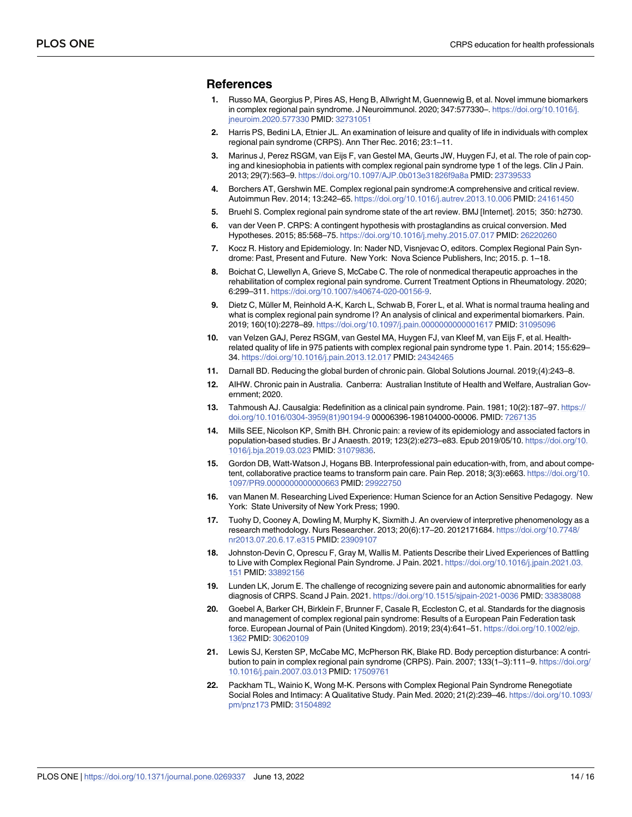## <span id="page-13-0"></span>**References**

- **[1](#page-1-0).** Russo MA, Georgius P, Pires AS, Heng B, Allwright M, Guennewig B, et al. Novel immune biomarkers in complex regional pain syndrome. J Neuroimmunol. 2020; 347:577330–. [https://doi.org/10.1016/j.](https://doi.org/10.1016/j.jneuroim.2020.577330) [jneuroim.2020.577330](https://doi.org/10.1016/j.jneuroim.2020.577330) PMID: [32731051](http://www.ncbi.nlm.nih.gov/pubmed/32731051)
- **[2](#page-1-0).** Harris PS, Bedini LA, Etnier JL. An examination of leisure and quality of life in individuals with complex regional pain syndrome (CRPS). Ann Ther Rec. 2016; 23:1–11.
- **[3](#page-1-0).** Marinus J, Perez RSGM, van Eijs F, van Gestel MA, Geurts JW, Huygen FJ, et al. The role of pain coping and kinesiophobia in patients with complex regional pain syndrome type 1 of the legs. Clin J Pain. 2013; 29(7):563–9. <https://doi.org/10.1097/AJP.0b013e31826f9a8a> PMID: [23739533](http://www.ncbi.nlm.nih.gov/pubmed/23739533)
- **[4](#page-1-0).** Borchers AT, Gershwin ME. Complex regional pain syndrome:A comprehensive and critical review. Autoimmun Rev. 2014; 13:242–65. <https://doi.org/10.1016/j.autrev.2013.10.006> PMID: [24161450](http://www.ncbi.nlm.nih.gov/pubmed/24161450)
- **[5](#page-2-0).** Bruehl S. Complex regional pain syndrome state of the art review. BMJ [Internet]. 2015; 350: h2730.
- **[6](#page-1-0).** van der Veen P. CRPS: A contingent hypothesis with prostaglandins as cruical conversion. Med Hypotheses. 2015; 85:568–75. <https://doi.org/10.1016/j.mehy.2015.07.017> PMID: [26220260](http://www.ncbi.nlm.nih.gov/pubmed/26220260)
- **[7](#page-2-0).** Kocz R. History and Epidemiology. In: Nader ND, Visnjevac O, editors. Complex Regional Pain Syndrome: Past, Present and Future. New York: Nova Science Publishers, Inc; 2015. p. 1–18.
- **[8](#page-1-0).** Boichat C, Llewellyn A, Grieve S, McCabe C. The role of nonmedical therapeutic approaches in the rehabilitation of complex regional pain syndrome. Current Treatment Options in Rheumatology. 2020; 6:299–311. [https://doi.org/10.1007/s40674-020-00156-9.](https://doi.org/10.1007/s40674-020-00156-9)
- **[9](#page-1-0).** Dietz C, Müller M, Reinhold A-K, Karch L, Schwab B, Forer L, et al. What is normal trauma healing and what is complex regional pain syndrome I? An analysis of clinical and experimental biomarkers. Pain. 2019; 160(10):2278–89. <https://doi.org/10.1097/j.pain.0000000000001617> PMID: [31095096](http://www.ncbi.nlm.nih.gov/pubmed/31095096)
- **[10](#page-1-0).** van Velzen GAJ, Perez RSGM, van Gestel MA, Huygen FJ, van Kleef M, van Eijs F, et al. Healthrelated quality of life in 975 patients with complex regional pain syndrome type 1. Pain. 2014; 155:629– 34. <https://doi.org/10.1016/j.pain.2013.12.017> PMID: [24342465](http://www.ncbi.nlm.nih.gov/pubmed/24342465)
- **[11](#page-1-0).** Darnall BD. Reducing the global burden of chronic pain. Global Solutions Journal. 2019;(4):243–8.
- **[12](#page-1-0).** AIHW. Chronic pain in Australia. Canberra: Australian Institute of Health and Welfare, Australian Government; 2020.
- **[13](#page-1-0).** Tahmoush AJ. Causalgia: Redefinition as a clinical pain syndrome. Pain. 1981; 10(2):187–97. [https://](https://doi.org/10.1016/0304-3959%2881%2990194-9) [doi.org/10.1016/0304-3959\(81\)90194-9](https://doi.org/10.1016/0304-3959%2881%2990194-9) 00006396-198104000-00006. PMID: [7267135](http://www.ncbi.nlm.nih.gov/pubmed/7267135)
- **[14](#page-1-0).** Mills SEE, Nicolson KP, Smith BH. Chronic pain: a review of its epidemiology and associated factors in population-based studies. Br J Anaesth. 2019; 123(2):e273–e83. Epub 2019/05/10. [https://doi.org/10.](https://doi.org/10.1016/j.bja.2019.03.023) [1016/j.bja.2019.03.023](https://doi.org/10.1016/j.bja.2019.03.023) PMID: [31079836.](http://www.ncbi.nlm.nih.gov/pubmed/31079836)
- **[15](#page-1-0).** Gordon DB, Watt-Watson J, Hogans BB. Interprofessional pain education-with, from, and about competent, collaborative practice teams to transform pain care. Pain Rep. 2018; 3(3):e663. [https://doi.org/10.](https://doi.org/10.1097/PR9.0000000000000663) [1097/PR9.0000000000000663](https://doi.org/10.1097/PR9.0000000000000663) PMID: [29922750](http://www.ncbi.nlm.nih.gov/pubmed/29922750)
- **[16](#page-2-0).** van Manen M. Researching Lived Experience: Human Science for an Action Sensitive Pedagogy. New York: State University of New York Press; 1990.
- **[17](#page-2-0).** Tuohy D, Cooney A, Dowling M, Murphy K, Sixmith J. An overview of interpretive phenomenology as a research methodology. Nurs Researcher. 2013; 20(6):17–20. 2012171684. [https://doi.org/10.7748/](https://doi.org/10.7748/nr2013.07.20.6.17.e315) [nr2013.07.20.6.17.e315](https://doi.org/10.7748/nr2013.07.20.6.17.e315) PMID: [23909107](http://www.ncbi.nlm.nih.gov/pubmed/23909107)
- **[18](#page-9-0).** Johnston-Devin C, Oprescu F, Gray M, Wallis M. Patients Describe their Lived Experiences of Battling to Live with Complex Regional Pain Syndrome. J Pain. 2021. [https://doi.org/10.1016/j.jpain.2021.03.](https://doi.org/10.1016/j.jpain.2021.03.151) [151](https://doi.org/10.1016/j.jpain.2021.03.151) PMID: [33892156](http://www.ncbi.nlm.nih.gov/pubmed/33892156)
- **[19](#page-2-0).** Lunden LK, Jorum E. The challenge of recognizing severe pain and autonomic abnormalities for early diagnosis of CRPS. Scand J Pain. 2021. <https://doi.org/10.1515/sjpain-2021-0036> PMID: [33838088](http://www.ncbi.nlm.nih.gov/pubmed/33838088)
- **[20](#page-2-0).** Goebel A, Barker CH, Birklein F, Brunner F, Casale R, Eccleston C, et al. Standards for the diagnosis and management of complex regional pain syndrome: Results of a European Pain Federation task force. European Journal of Pain (United Kingdom). 2019; 23(4):641–51. [https://doi.org/10.1002/ejp.](https://doi.org/10.1002/ejp.1362) [1362](https://doi.org/10.1002/ejp.1362) PMID: [30620109](http://www.ncbi.nlm.nih.gov/pubmed/30620109)
- **[21](#page-2-0).** Lewis SJ, Kersten SP, McCabe MC, McPherson RK, Blake RD. Body perception disturbance: A contribution to pain in complex regional pain syndrome (CRPS). Pain. 2007; 133(1–3):111–9. [https://doi.org/](https://doi.org/10.1016/j.pain.2007.03.013) [10.1016/j.pain.2007.03.013](https://doi.org/10.1016/j.pain.2007.03.013) PMID: [17509761](http://www.ncbi.nlm.nih.gov/pubmed/17509761)
- **[22](#page-2-0).** Packham TL, Wainio K, Wong M-K. Persons with Complex Regional Pain Syndrome Renegotiate Social Roles and Intimacy: A Qualitative Study. Pain Med. 2020; 21(2):239–46. [https://doi.org/10.1093/](https://doi.org/10.1093/pm/pnz173) [pm/pnz173](https://doi.org/10.1093/pm/pnz173) PMID: [31504892](http://www.ncbi.nlm.nih.gov/pubmed/31504892)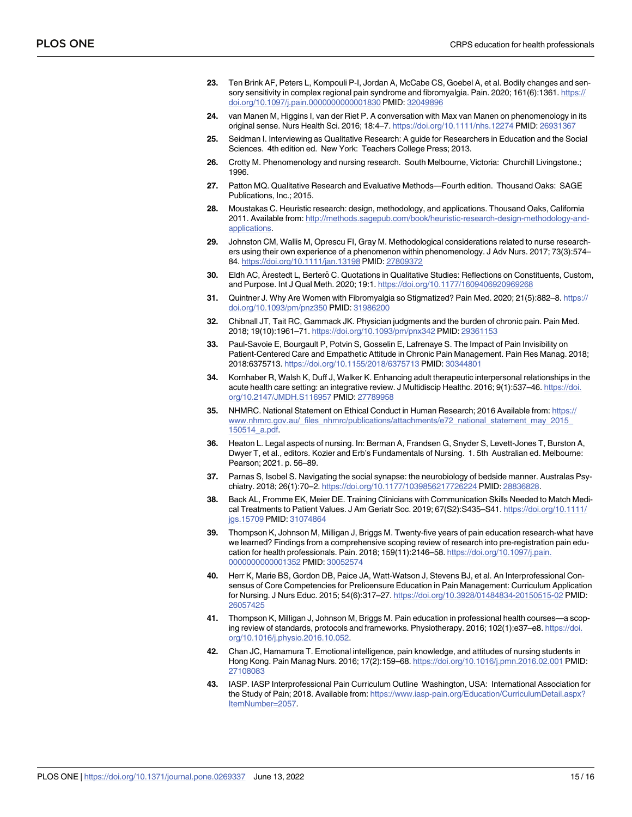- <span id="page-14-0"></span>**[23](#page-2-0).** Ten Brink AF, Peters L, Kompouli P-I, Jordan A, McCabe CS, Goebel A, et al. Bodily changes and sensory sensitivity in complex regional pain syndrome and fibromyalgia. Pain. 2020; 161(6):1361. [https://](https://doi.org/10.1097/j.pain.0000000000001830) [doi.org/10.1097/j.pain.0000000000001830](https://doi.org/10.1097/j.pain.0000000000001830) PMID: [32049896](http://www.ncbi.nlm.nih.gov/pubmed/32049896)
- **[24](#page-2-0).** van Manen M, Higgins I, van der Riet P. A conversation with Max van Manen on phenomenology in its original sense. Nurs Health Sci. 2016; 18:4–7. <https://doi.org/10.1111/nhs.12274> PMID: [26931367](http://www.ncbi.nlm.nih.gov/pubmed/26931367)
- **[25](#page-3-0).** Seidman I. Interviewing as Qualitative Research: A guide for Researchers in Education and the Social Sciences. 4th edition ed. New York: Teachers College Press; 2013.
- **[26](#page-4-0).** Crotty M. Phenomenology and nursing research. South Melbourne, Victoria: Churchill Livingstone.; 1996.
- **[27](#page-4-0).** Patton MQ. Qualitative Research and Evaluative Methods—Fourth edition. Thousand Oaks: SAGE Publications, Inc.; 2015.
- **[28](#page-4-0).** Moustakas C. Heuristic research: design, methodology, and applications. Thousand Oaks, California 2011. Available from: [http://methods.sagepub.com/book/heuristic-research-design-methodology-and](http://methods.sagepub.com/book/heuristic-research-design-methodology-and-applications)[applications.](http://methods.sagepub.com/book/heuristic-research-design-methodology-and-applications)
- **[29](#page-4-0).** Johnston CM, Wallis M, Oprescu FI, Gray M. Methodological considerations related to nurse researchers using their own experience of a phenomenon within phenomenology. J Adv Nurs. 2017; 73(3):574– 84. <https://doi.org/10.1111/jan.13198> PMID: [27809372](http://www.ncbi.nlm.nih.gov/pubmed/27809372)
- **[30](#page-4-0).** Eldh AC, Årestedt L, Berterö C. Quotations in Qualitative Studies: Reflections on Constituents, Custom, and Purpose. Int J Qual Meth. 2020; 19:1. <https://doi.org/10.1177/1609406920969268>
- **[31](#page-9-0).** Quintner J. Why Are Women with Fibromyalgia so Stigmatized? Pain Med. 2020; 21(5):882–8. [https://](https://doi.org/10.1093/pm/pnz350) [doi.org/10.1093/pm/pnz350](https://doi.org/10.1093/pm/pnz350) PMID: [31986200](http://www.ncbi.nlm.nih.gov/pubmed/31986200)
- **[32](#page-9-0).** Chibnall JT, Tait RC, Gammack JK. Physician judgments and the burden of chronic pain. Pain Med. 2018; 19(10):1961–71. <https://doi.org/10.1093/pm/pnx342> PMID: [29361153](http://www.ncbi.nlm.nih.gov/pubmed/29361153)
- **[33](#page-9-0).** Paul-Savoie E, Bourgault P, Potvin S, Gosselin E, Lafrenaye S. The Impact of Pain Invisibility on Patient-Centered Care and Empathetic Attitude in Chronic Pain Management. Pain Res Manag. 2018; 2018:6375713. <https://doi.org/10.1155/2018/6375713> PMID: [30344801](http://www.ncbi.nlm.nih.gov/pubmed/30344801)
- **[34](#page-9-0).** Kornhaber R, Walsh K, Duff J, Walker K. Enhancing adult therapeutic interpersonal relationships in the acute health care setting: an integrative review. J Multidiscip Healthc. 2016; 9(1):537–46. [https://doi.](https://doi.org/10.2147/JMDH.S116957) [org/10.2147/JMDH.S116957](https://doi.org/10.2147/JMDH.S116957) PMID: [27789958](http://www.ncbi.nlm.nih.gov/pubmed/27789958)
- **[35](#page-9-0).** NHMRC. National Statement on Ethical Conduct in Human Research; 2016 Available from: [https://](https://www.nhmrc.gov.au/_files_nhmrc/publications/attachments/e72_national_statement_may_2015_150514_a.pdf) [www.nhmrc.gov.au/\\_files\\_nhmrc/publications/attachments/e72\\_national\\_statement\\_may\\_2015\\_](https://www.nhmrc.gov.au/_files_nhmrc/publications/attachments/e72_national_statement_may_2015_150514_a.pdf) [150514\\_a.pdf.](https://www.nhmrc.gov.au/_files_nhmrc/publications/attachments/e72_national_statement_may_2015_150514_a.pdf)
- **[36](#page-9-0).** Heaton L. Legal aspects of nursing. In: Berman A, Frandsen G, Snyder S, Levett-Jones T, Burston A, Dwyer T, et al., editors. Kozier and Erb's Fundamentals of Nursing. 1. 5th Australian ed. Melbourne: Pearson; 2021. p. 56–89.
- **[37](#page-10-0).** Parnas S, Isobel S. Navigating the social synapse: the neurobiology of bedside manner. Australas Psychiatry. 2018; 26(1):70–2. <https://doi.org/10.1177/1039856217726224> PMID: [28836828.](http://www.ncbi.nlm.nih.gov/pubmed/28836828)
- **[38](#page-10-0).** Back AL, Fromme EK, Meier DE. Training Clinicians with Communication Skills Needed to Match Medical Treatments to Patient Values. J Am Geriatr Soc. 2019; 67(S2):S435–S41. [https://doi.org/10.1111/](https://doi.org/10.1111/jgs.15709) [jgs.15709](https://doi.org/10.1111/jgs.15709) PMID: [31074864](http://www.ncbi.nlm.nih.gov/pubmed/31074864)
- **[39](#page-10-0).** Thompson K, Johnson M, Milligan J, Briggs M. Twenty-five years of pain education research-what have we learned? Findings from a comprehensive scoping review of research into pre-registration pain education for health professionals. Pain. 2018; 159(11):2146–58. [https://doi.org/10.1097/j.pain.](https://doi.org/10.1097/j.pain.0000000000001352) [0000000000001352](https://doi.org/10.1097/j.pain.0000000000001352) PMID: [30052574](http://www.ncbi.nlm.nih.gov/pubmed/30052574)
- **[40](#page-10-0).** Herr K, Marie BS, Gordon DB, Paice JA, Watt-Watson J, Stevens BJ, et al. An Interprofessional Consensus of Core Competencies for Prelicensure Education in Pain Management: Curriculum Application for Nursing. J Nurs Educ. 2015; 54(6):317–27. <https://doi.org/10.3928/01484834-20150515-02> PMID: [26057425](http://www.ncbi.nlm.nih.gov/pubmed/26057425)
- **[41](#page-10-0).** Thompson K, Milligan J, Johnson M, Briggs M. Pain education in professional health courses—a scoping review of standards, protocols and frameworks. Physiotherapy. 2016; 102(1):e37–e8. [https://doi.](https://doi.org/10.1016/j.physio.2016.10.052) [org/10.1016/j.physio.2016.10.052](https://doi.org/10.1016/j.physio.2016.10.052).
- **[42](#page-10-0).** Chan JC, Hamamura T. Emotional intelligence, pain knowledge, and attitudes of nursing students in Hong Kong. Pain Manag Nurs. 2016; 17(2):159–68. <https://doi.org/10.1016/j.pmn.2016.02.001> PMID: [27108083](http://www.ncbi.nlm.nih.gov/pubmed/27108083)
- **[43](#page-10-0).** IASP. IASP Interprofessional Pain Curriculum Outline Washington, USA: International Association for the Study of Pain; 2018. Available from: [https://www.iasp-pain.org/Education/CurriculumDetail.aspx?](https://www.iasp-pain.org/Education/CurriculumDetail.aspx?ItemNumber=2057) [ItemNumber=2057](https://www.iasp-pain.org/Education/CurriculumDetail.aspx?ItemNumber=2057).